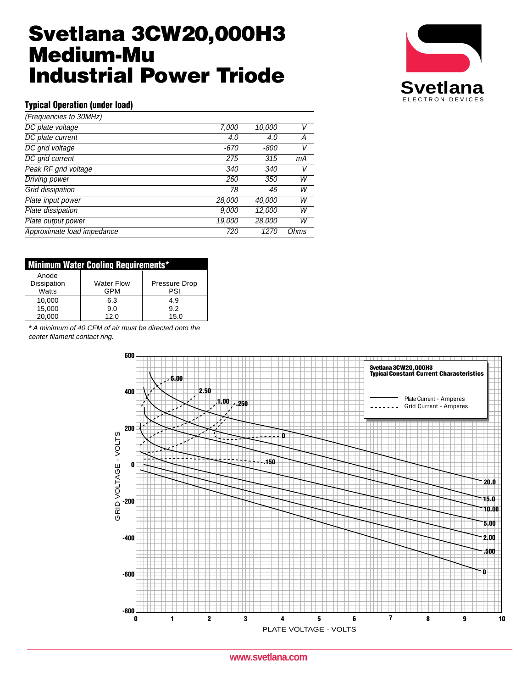# **Svetlana 3CW20,000H3 Medium-Mu Industrial Power Triode**



### **Typical Operation (under load)**

| (Frequencies to 30MHz)     |            |               |      |
|----------------------------|------------|---------------|------|
| DC plate voltage           | 7,000      | 10,000        | V    |
| DC plate current           | 4.0        | 4.0           | Α    |
| DC grid voltage            | -670       | -800          | V    |
| DC grid current            | 275        | 315           | mА   |
| Peak RF grid voltage       | 340        | 340           | V    |
| Driving power              | <i>260</i> | 350           | W    |
| Grid dissipation           | 78         | 46            | W    |
| Plate input power          | 28,000     | 40,000        | W    |
| Plate dissipation          | 9,000      | 12,000        | W    |
| Plate output power         | 19,000     | <i>28,000</i> | W    |
| Approximate load impedance | 720        | 1270          | Ohms |

| <b>Minimum Water Cooling Requirements*</b> |                   |                      |  |  |  |
|--------------------------------------------|-------------------|----------------------|--|--|--|
| Anode                                      | <b>Water Flow</b> |                      |  |  |  |
| Dissipation<br>Watts                       | <b>GPM</b>        | Pressure Drop<br>PSI |  |  |  |
| 10.000                                     | 6.3               | 4.9                  |  |  |  |
| 15,000                                     | 9.0               | 9.2                  |  |  |  |
| 20.000                                     | 12.0              | 15.0                 |  |  |  |

\* A minimum of 40 CFM of air must be directed onto the center filament contact ring.



**www.svetlana.com**